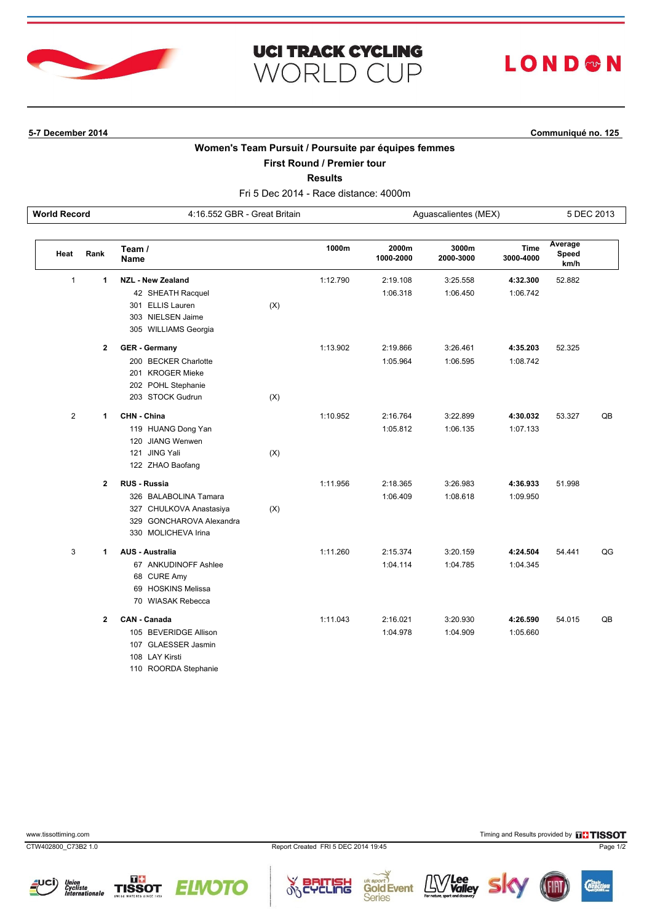

### **UCI TRACK CYCLING** LOND®N **WORLD CUP**

**5-7 December 2014 Communiqué no. 125**

### **Women's Team Pursuit / Poursuite par équipes femmes**

**First Round / Premier tour**

**Results**

Fri 5 Dec 2014 - Race distance: 4000m **World Record** 4:16.552 GBR - Great Britain Aguascalientes (MEX) 5 DEC 2013

| Heat           | Rank           | Team /<br>Name           |     | 1000m    | 2000m<br>1000-2000 | 3000m<br>2000-3000 | <b>Time</b><br>3000-4000 | Average<br>Speed<br>km/h |    |
|----------------|----------------|--------------------------|-----|----------|--------------------|--------------------|--------------------------|--------------------------|----|
| $\mathbf{1}$   | 1              | <b>NZL - New Zealand</b> |     | 1:12.790 | 2:19.108           | 3:25.558           | 4:32.300                 | 52.882                   |    |
|                |                | 42 SHEATH Racquel        |     |          | 1:06.318           | 1:06.450           | 1:06.742                 |                          |    |
|                |                | 301 ELLIS Lauren         | (X) |          |                    |                    |                          |                          |    |
|                |                | 303 NIELSEN Jaime        |     |          |                    |                    |                          |                          |    |
|                |                | 305 WILLIAMS Georgia     |     |          |                    |                    |                          |                          |    |
|                | $\overline{2}$ | <b>GER</b> - Germany     |     | 1:13.902 | 2:19.866           | 3:26.461           | 4:35.203                 | 52.325                   |    |
|                |                | 200 BECKER Charlotte     |     |          | 1:05.964           | 1:06.595           | 1:08.742                 |                          |    |
|                |                | 201 KROGER Mieke         |     |          |                    |                    |                          |                          |    |
|                |                | 202 POHL Stephanie       |     |          |                    |                    |                          |                          |    |
|                |                | 203 STOCK Gudrun         | (X) |          |                    |                    |                          |                          |    |
| $\overline{2}$ | 1              | CHN - China              |     | 1:10.952 | 2:16.764           | 3:22.899           | 4:30.032                 | 53.327                   | QB |
|                |                | 119 HUANG Dong Yan       |     |          | 1:05.812           | 1:06.135           | 1:07.133                 |                          |    |
|                |                | 120 JIANG Wenwen         |     |          |                    |                    |                          |                          |    |
|                |                | 121 JING Yali            | (X) |          |                    |                    |                          |                          |    |
|                |                | 122 ZHAO Baofang         |     |          |                    |                    |                          |                          |    |
|                | $\overline{2}$ | <b>RUS - Russia</b>      |     | 1:11.956 | 2:18.365           | 3:26.983           | 4:36.933                 | 51.998                   |    |
|                |                | 326 BALABOLINA Tamara    |     |          | 1:06.409           | 1:08.618           | 1:09.950                 |                          |    |
|                |                | 327 CHULKOVA Anastasiya  | (X) |          |                    |                    |                          |                          |    |
|                |                | 329 GONCHAROVA Alexandra |     |          |                    |                    |                          |                          |    |
|                |                | 330 MOLICHEVA Irina      |     |          |                    |                    |                          |                          |    |
| 3              | 1              | <b>AUS - Australia</b>   |     | 1:11.260 | 2:15.374           | 3:20.159           | 4:24.504                 | 54.441                   | QG |
|                |                | 67 ANKUDINOFF Ashlee     |     |          | 1:04.114           | 1:04.785           | 1:04.345                 |                          |    |
|                |                | 68 CURE Amy              |     |          |                    |                    |                          |                          |    |
|                |                | 69 HOSKINS Melissa       |     |          |                    |                    |                          |                          |    |
|                |                | 70 WIASAK Rebecca        |     |          |                    |                    |                          |                          |    |
|                | $\overline{2}$ | <b>CAN - Canada</b>      |     | 1:11.043 | 2:16.021           | 3:20.930           | 4:26.590                 | 54.015                   | QB |
|                |                | 105 BEVERIDGE Allison    |     |          | 1:04.978           | 1:04.909           | 1:05.660                 |                          |    |
|                |                | 107 GLAESSER Jasmin      |     |          |                    |                    |                          |                          |    |
|                |                | 108 LAY Kirsti           |     |          |                    |                    |                          |                          |    |

110 ROORDA Stephanie

CTW402800\_C73B2 1.0 Report Created FRI 5 DEC 2014 19:45 Page 1/2